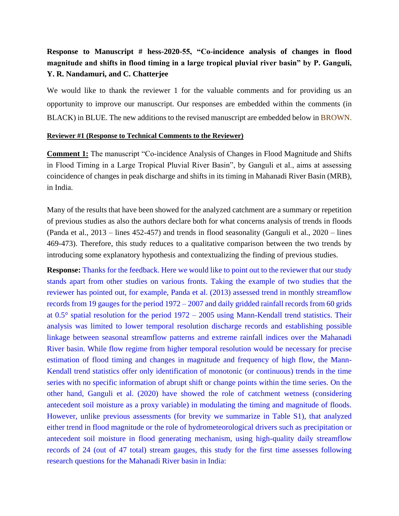## **Response to Manuscript # hess-2020-55, "Co-incidence analysis of changes in flood magnitude and shifts in flood timing in a large tropical pluvial river basin" by P. Ganguli, Y. R. Nandamuri, and C. Chatterjee**

We would like to thank the reviewer 1 for the valuable comments and for providing us an opportunity to improve our manuscript. Our responses are embedded within the comments (in BLACK) in BLUE. The new additions to the revised manuscript are embedded below in BROWN.

## **Reviewer #1 (Response to Technical Comments to the Reviewer)**

**Comment 1:** The manuscript "Co-incidence Analysis of Changes in Flood Magnitude and Shifts in Flood Timing in a Large Tropical Pluvial River Basin", by Ganguli et al., aims at assessing coincidence of changes in peak discharge and shifts in its timing in Mahanadi River Basin (MRB), in India.

Many of the results that have been showed for the analyzed catchment are a summary or repetition of previous studies as also the authors declare both for what concerns analysis of trends in floods (Panda et al., 2013 – lines 452-457) and trends in flood seasonality (Ganguli et al., 2020 – lines 469-473). Therefore, this study reduces to a qualitative comparison between the two trends by introducing some explanatory hypothesis and contextualizing the finding of previous studies.

**Response:** Thanks for the feedback. Here we would like to point out to the reviewer that our study stands apart from other studies on various fronts. Taking the example of two studies that the reviewer has pointed out, for example, Panda et al. (2013) assessed trend in monthly streamflow records from 19 gauges for the period 1972 – 2007 and daily gridded rainfall records from 60 grids at 0.5° spatial resolution for the period 1972 – 2005 using Mann-Kendall trend statistics. Their analysis was limited to lower temporal resolution discharge records and establishing possible linkage between seasonal streamflow patterns and extreme rainfall indices over the Mahanadi River basin. While flow regime from higher temporal resolution would be necessary for precise estimation of flood timing and changes in magnitude and frequency of high flow, the Mann-Kendall trend statistics offer only identification of monotonic (or continuous) trends in the time series with no specific information of abrupt shift or change points within the time series. On the other hand, Ganguli et al. (2020) have showed the role of catchment wetness (considering antecedent soil moisture as a proxy variable) in modulating the timing and magnitude of floods. However, unlike previous assessments (for brevity we summarize in Table S1), that analyzed either trend in flood magnitude or the role of hydrometeorological drivers such as precipitation or antecedent soil moisture in flood generating mechanism, using high-quality daily streamflow records of 24 (out of 47 total) stream gauges, this study for the first time assesses following research questions for the Mahanadi River basin in India: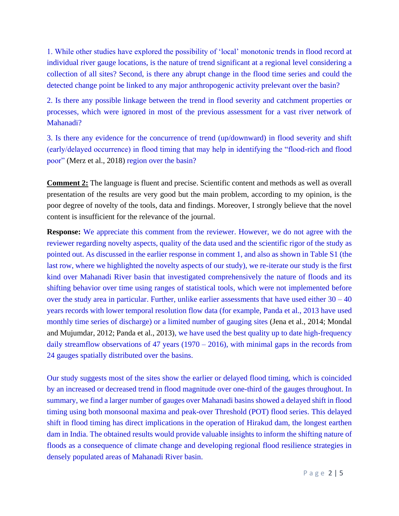1. While other studies have explored the possibility of 'local' monotonic trends in flood record at individual river gauge locations, is the nature of trend significant at a regional level considering a collection of all sites? Second, is there any abrupt change in the flood time series and could the detected change point be linked to any major anthropogenic activity prelevant over the basin?

2. Is there any possible linkage between the trend in flood severity and catchment properties or processes, which were ignored in most of the previous assessment for a vast river network of Mahanadi?

3. Is there any evidence for the concurrence of trend (up/downward) in flood severity and shift (early/delayed occurrence) in flood timing that may help in identifying the "flood-rich and flood poor" (Merz et al., 2018) region over the basin?

**Comment 2:** The language is fluent and precise. Scientific content and methods as well as overall presentation of the results are very good but the main problem, according to my opinion, is the poor degree of novelty of the tools, data and findings. Moreover, I strongly believe that the novel content is insufficient for the relevance of the journal.

**Response:** We appreciate this comment from the reviewer. However, we do not agree with the reviewer regarding novelty aspects, quality of the data used and the scientific rigor of the study as pointed out. As discussed in the earlier response in comment 1, and also as shown in Table S1 (the last row, where we highlighted the novelty aspects of our study), we re-iterate our study is the first kind over Mahanadi River basin that investigated comprehensively the nature of floods and its shifting behavior over time using ranges of statistical tools, which were not implemented before over the study area in particular. Further, unlike earlier assessments that have used either 30 – 40 years records with lower temporal resolution flow data (for example, Panda et al., 2013 have used monthly time series of discharge) or a limited number of gauging sites (Jena et al., 2014; Mondal and Mujumdar, 2012; Panda et al., 2013), we have used the best quality up to date high-frequency daily streamflow observations of 47 years (1970 – 2016), with minimal gaps in the records from 24 gauges spatially distributed over the basins.

Our study suggests most of the sites show the earlier or delayed flood timing, which is coincided by an increased or decreased trend in flood magnitude over one-third of the gauges throughout. In summary, we find a larger number of gauges over Mahanadi basins showed a delayed shift in flood timing using both monsoonal maxima and peak-over Threshold (POT) flood series. This delayed shift in flood timing has direct implications in the operation of Hirakud dam, the longest earthen dam in India. The obtained results would provide valuable insights to inform the shifting nature of floods as a consequence of climate change and developing regional flood resilience strategies in densely populated areas of Mahanadi River basin.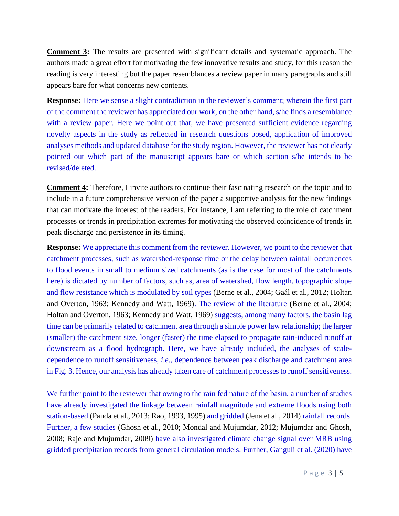**Comment 3:** The results are presented with significant details and systematic approach. The authors made a great effort for motivating the few innovative results and study, for this reason the reading is very interesting but the paper resemblances a review paper in many paragraphs and still appears bare for what concerns new contents.

**Response:** Here we sense a slight contradiction in the reviewer's comment; wherein the first part of the comment the reviewer has appreciated our work, on the other hand, s/he finds a resemblance with a review paper. Here we point out that, we have presented sufficient evidence regarding novelty aspects in the study as reflected in research questions posed, application of improved analyses methods and updated database for the study region. However, the reviewer has not clearly pointed out which part of the manuscript appears bare or which section s/he intends to be revised/deleted.

**Comment 4:** Therefore, I invite authors to continue their fascinating research on the topic and to include in a future comprehensive version of the paper a supportive analysis for the new findings that can motivate the interest of the readers. For instance, I am referring to the role of catchment processes or trends in precipitation extremes for motivating the observed coincidence of trends in peak discharge and persistence in its timing.

**Response:** We appreciate this comment from the reviewer. However, we point to the reviewer that catchment processes, such as watershed-response time or the delay between rainfall occurrences to flood events in small to medium sized catchments (as is the case for most of the catchments here) is dictated by number of factors, such as, area of watershed, flow length, topographic slope and flow resistance which is modulated by soil types (Berne et al., 2004; Gaál et al., 2012; Holtan and Overton, 1963; Kennedy and Watt, 1969). The review of the literature (Berne et al., 2004; Holtan and Overton, 1963; Kennedy and Watt, 1969) suggests, among many factors, the basin lag time can be primarily related to catchment area through a simple power law relationship; the larger (smaller) the catchment size, longer (faster) the time elapsed to propagate rain-induced runoff at downstream as a flood hydrograph. Here, we have already included, the analyses of scaledependence to runoff sensitiveness, *i.e.*, dependence between peak discharge and catchment area in Fig. 3. Hence, our analysis has already taken care of catchment processes to runoff sensitiveness.

We further point to the reviewer that owing to the rain fed nature of the basin, a number of studies have already investigated the linkage between rainfall magnitude and extreme floods using both station-based (Panda et al., 2013; Rao, 1993, 1995) and gridded (Jena et al., 2014) rainfall records. Further, a few studies (Ghosh et al., 2010; Mondal and Mujumdar, 2012; Mujumdar and Ghosh, 2008; Raje and Mujumdar, 2009) have also investigated climate change signal over MRB using gridded precipitation records from general circulation models. Further, Ganguli et al. (2020) have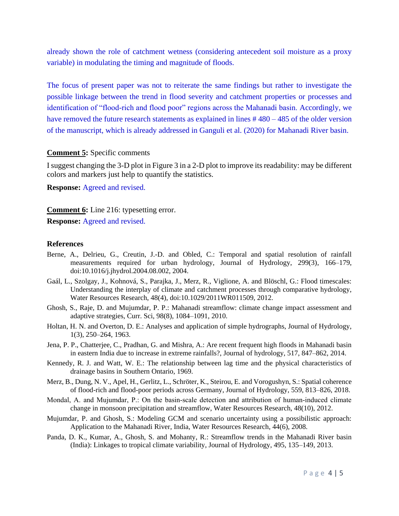already shown the role of catchment wetness (considering antecedent soil moisture as a proxy variable) in modulating the timing and magnitude of floods.

The focus of present paper was not to reiterate the same findings but rather to investigate the possible linkage between the trend in flood severity and catchment properties or processes and identification of "flood-rich and flood poor" regions across the Mahanadi basin. Accordingly, we have removed the future research statements as explained in lines #480 – 485 of the older version of the manuscript, which is already addressed in Ganguli et al. (2020) for Mahanadi River basin.

## **Comment 5:** Specific comments

I suggest changing the 3-D plot in Figure 3 in a 2-D plot to improve its readability: may be different colors and markers just help to quantify the statistics.

**Response:** Agreed and revised.

**Comment 6:** Line 216: typesetting error.

**Response:** Agreed and revised.

## **References**

- Berne, A., Delrieu, G., Creutin, J.-D. and Obled, C.: Temporal and spatial resolution of rainfall measurements required for urban hydrology, Journal of Hydrology, 299(3), 166–179, doi:10.1016/j.jhydrol.2004.08.002, 2004.
- Gaál, L., Szolgay, J., Kohnová, S., Parajka, J., Merz, R., Viglione, A. and Blöschl, G.: Flood timescales: Understanding the interplay of climate and catchment processes through comparative hydrology, Water Resources Research, 48(4), doi:10.1029/2011WR011509, 2012.
- Ghosh, S., Raje, D. and Mujumdar, P. P.: Mahanadi streamflow: climate change impact assessment and adaptive strategies, Curr. Sci, 98(8), 1084–1091, 2010.
- Holtan, H. N. and Overton, D. E.: Analyses and application of simple hydrographs, Journal of Hydrology, 1(3), 250–264, 1963.
- Jena, P. P., Chatterjee, C., Pradhan, G. and Mishra, A.: Are recent frequent high floods in Mahanadi basin in eastern India due to increase in extreme rainfalls?, Journal of hydrology, 517, 847–862, 2014.
- Kennedy, R. J. and Watt, W. E.: The relationship between lag time and the physical characteristics of drainage basins in Southern Ontario, 1969.
- Merz, B., Dung, N. V., Apel, H., Gerlitz, L., Schröter, K., Steirou, E. and Vorogushyn, S.: Spatial coherence of flood-rich and flood-poor periods across Germany, Journal of Hydrology, 559, 813–826, 2018.
- Mondal, A. and Mujumdar, P.: On the basin-scale detection and attribution of human-induced climate change in monsoon precipitation and streamflow, Water Resources Research, 48(10), 2012.
- Mujumdar, P. and Ghosh, S.: Modeling GCM and scenario uncertainty using a possibilistic approach: Application to the Mahanadi River, India, Water Resources Research, 44(6), 2008.
- Panda, D. K., Kumar, A., Ghosh, S. and Mohanty, R.: Streamflow trends in the Mahanadi River basin (India): Linkages to tropical climate variability, Journal of Hydrology, 495, 135–149, 2013.